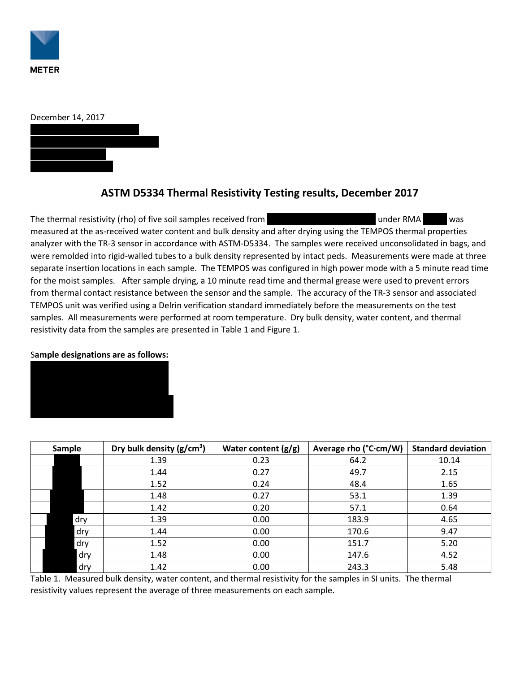

| December 14, 2017 |  |
|-------------------|--|
|                   |  |
|                   |  |
|                   |  |
|                   |  |

## **ASTM D5334 Thermal Resistivity Testing results, December 2017**

The thermal resistivity (rho) of five soil samples received from Goodwin, Mills, and American and Kawood was measured at the as-received water content and bulk density and after drying using the TEMPOS thermal properties analyzer with the TR-3 sensor in accordance with ASTM-D5334. The samples were received unconsolidated in bags, and were remolded into rigid-walled tubes to a bulk density represented by intact peds. Measurements were made at three separate insertion locations in each sample. The TEMPOS was configured in high power mode with a 5 minute read time for the moist samples. After sample drying, a 10 minute read time and thermal grease were used to prevent errors from thermal contact resistance between the sensor and the sample. The accuracy of the TR-3 sensor and associated TEMPOS unit was verified using a Delrin verification standard immediately before the measurements on the test samples. All measurements were performed at room temperature. Dry bulk density, water content, and thermal resistivity data from the samples are presented in Table 1 and Figure 1.

## S**ample designations are as follows:**



| Sample | Dry bulk density $(g/cm^3)$ | Water content $(g/g)$ | Average rho (°C·cm/W) | <b>Standard deviation</b> |
|--------|-----------------------------|-----------------------|-----------------------|---------------------------|
|        | 1.39                        | 0.23                  | 64.2                  | 10.14                     |
|        | 1.44                        | 0.27                  | 49.7                  | 2.15                      |
|        | 1.52                        | 0.24                  | 48.4                  | 1.65                      |
|        | 1.48                        | 0.27                  | 53.1                  | 1.39                      |
|        | 1.42                        | 0.20                  | 57.1                  | 0.64                      |
| dry    | 1.39                        | 0.00                  | 183.9                 | 4.65                      |
| dry    | 1.44                        | 0.00                  | 170.6                 | 9.47                      |
| dry    | 1.52                        | 0.00                  | 151.7                 | 5.20                      |
| dry    | 1.48                        | 0.00                  | 147.6                 | 4.52                      |
| dry    | 1.42                        | 0.00                  | 243.3                 | 5.48                      |

Table 1. Measured bulk density, water content, and thermal resistivity for the samples in SI units. The thermal resistivity values represent the average of three measurements on each sample.